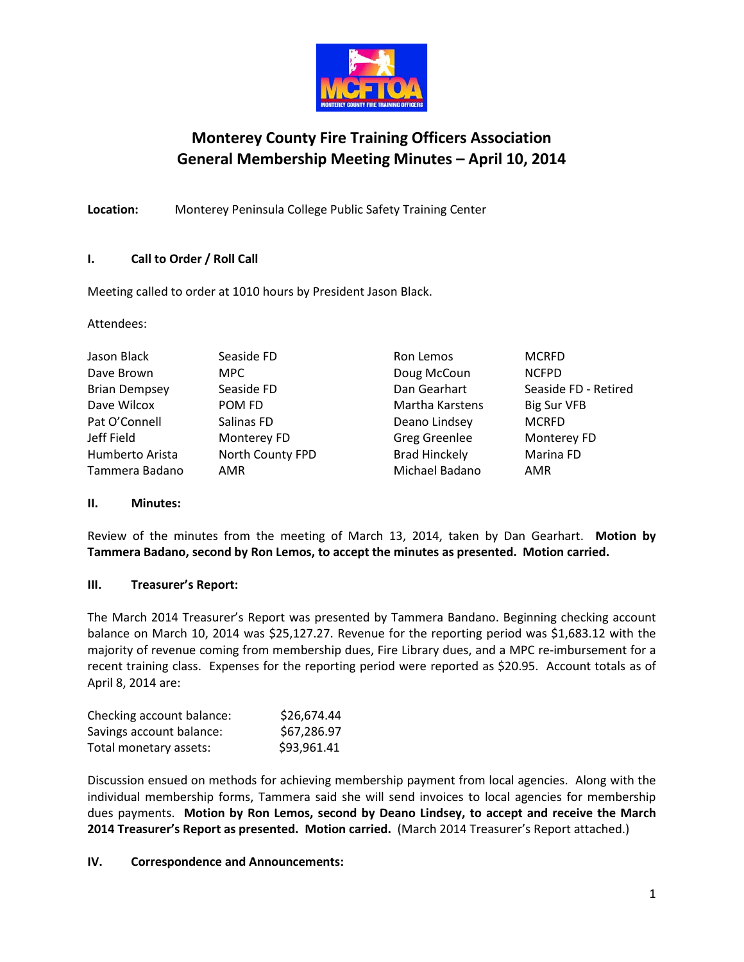

# **Monterey County Fire Training Officers Association General Membership Meeting Minutes – April 10, 2014**

**Location:** Monterey Peninsula College Public Safety Training Center

# **I. Call to Order / Roll Call**

Meeting called to order at 1010 hours by President Jason Black.

Attendees:

| Jason Black          | Seaside FD       | Ron Lemos            | <b>MCRFD</b>         |
|----------------------|------------------|----------------------|----------------------|
| Dave Brown           | MPC.             | Doug McCoun          | <b>NCFPD</b>         |
| <b>Brian Dempsey</b> | Seaside FD       | Dan Gearhart         | Seaside FD - Retired |
| Dave Wilcox          | POM FD           | Martha Karstens      | Big Sur VFB          |
| Pat O'Connell        | Salinas FD       | Deano Lindsey        | <b>MCRFD</b>         |
| Jeff Field           | Monterey FD      | <b>Greg Greenlee</b> | Monterey FD          |
| Humberto Arista      | North County FPD | <b>Brad Hinckely</b> | Marina FD            |
| Tammera Badano       | AMR              | Michael Badano       | AMR                  |

# **II. Minutes:**

Review of the minutes from the meeting of March 13, 2014, taken by Dan Gearhart. **Motion by Tammera Badano, second by Ron Lemos, to accept the minutes as presented. Motion carried.**

# **III. Treasurer's Report:**

The March 2014 Treasurer's Report was presented by Tammera Bandano. Beginning checking account balance on March 10, 2014 was \$25,127.27. Revenue for the reporting period was \$1,683.12 with the majority of revenue coming from membership dues, Fire Library dues, and a MPC re-imbursement for a recent training class. Expenses for the reporting period were reported as \$20.95. Account totals as of April 8, 2014 are:

| Checking account balance: | \$26,674.44 |
|---------------------------|-------------|
| Savings account balance:  | \$67,286.97 |
| Total monetary assets:    | \$93,961.41 |

Discussion ensued on methods for achieving membership payment from local agencies. Along with the individual membership forms, Tammera said she will send invoices to local agencies for membership dues payments. **Motion by Ron Lemos, second by Deano Lindsey, to accept and receive the March 2014 Treasurer's Report as presented. Motion carried.** (March 2014 Treasurer's Report attached.)

#### **IV. Correspondence and Announcements:**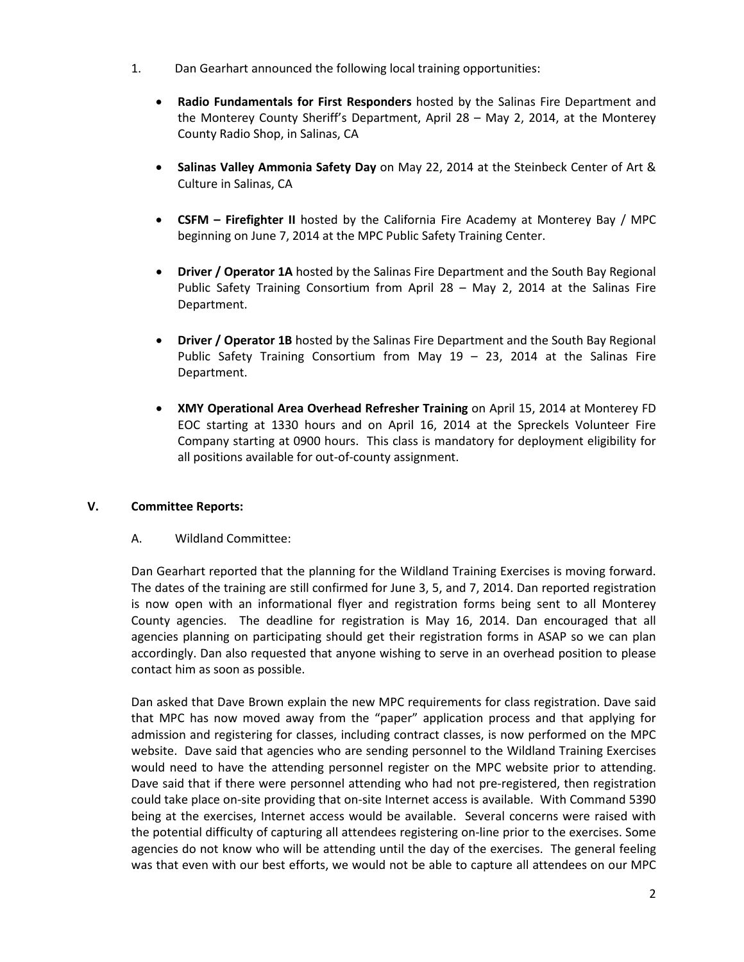- 1. Dan Gearhart announced the following local training opportunities:
	- **Radio Fundamentals for First Responders** hosted by the Salinas Fire Department and the Monterey County Sheriff's Department, April 28 – May 2, 2014, at the Monterey County Radio Shop, in Salinas, CA
	- **Salinas Valley Ammonia Safety Day** on May 22, 2014 at the Steinbeck Center of Art & Culture in Salinas, CA
	- **CSFM – Firefighter II** hosted by the California Fire Academy at Monterey Bay / MPC beginning on June 7, 2014 at the MPC Public Safety Training Center.
	- **Driver / Operator 1A** hosted by the Salinas Fire Department and the South Bay Regional Public Safety Training Consortium from April 28 – May 2, 2014 at the Salinas Fire Department.
	- **Driver / Operator 1B** hosted by the Salinas Fire Department and the South Bay Regional Public Safety Training Consortium from May  $19 - 23$ , 2014 at the Salinas Fire Department.
	- **XMY Operational Area Overhead Refresher Training** on April 15, 2014 at Monterey FD EOC starting at 1330 hours and on April 16, 2014 at the Spreckels Volunteer Fire Company starting at 0900 hours. This class is mandatory for deployment eligibility for all positions available for out-of-county assignment.

# **V. Committee Reports:**

#### A. Wildland Committee:

Dan Gearhart reported that the planning for the Wildland Training Exercises is moving forward. The dates of the training are still confirmed for June 3, 5, and 7, 2014. Dan reported registration is now open with an informational flyer and registration forms being sent to all Monterey County agencies. The deadline for registration is May 16, 2014. Dan encouraged that all agencies planning on participating should get their registration forms in ASAP so we can plan accordingly. Dan also requested that anyone wishing to serve in an overhead position to please contact him as soon as possible.

Dan asked that Dave Brown explain the new MPC requirements for class registration. Dave said that MPC has now moved away from the "paper" application process and that applying for admission and registering for classes, including contract classes, is now performed on the MPC website. Dave said that agencies who are sending personnel to the Wildland Training Exercises would need to have the attending personnel register on the MPC website prior to attending. Dave said that if there were personnel attending who had not pre-registered, then registration could take place on-site providing that on-site Internet access is available. With Command 5390 being at the exercises, Internet access would be available. Several concerns were raised with the potential difficulty of capturing all attendees registering on-line prior to the exercises. Some agencies do not know who will be attending until the day of the exercises. The general feeling was that even with our best efforts, we would not be able to capture all attendees on our MPC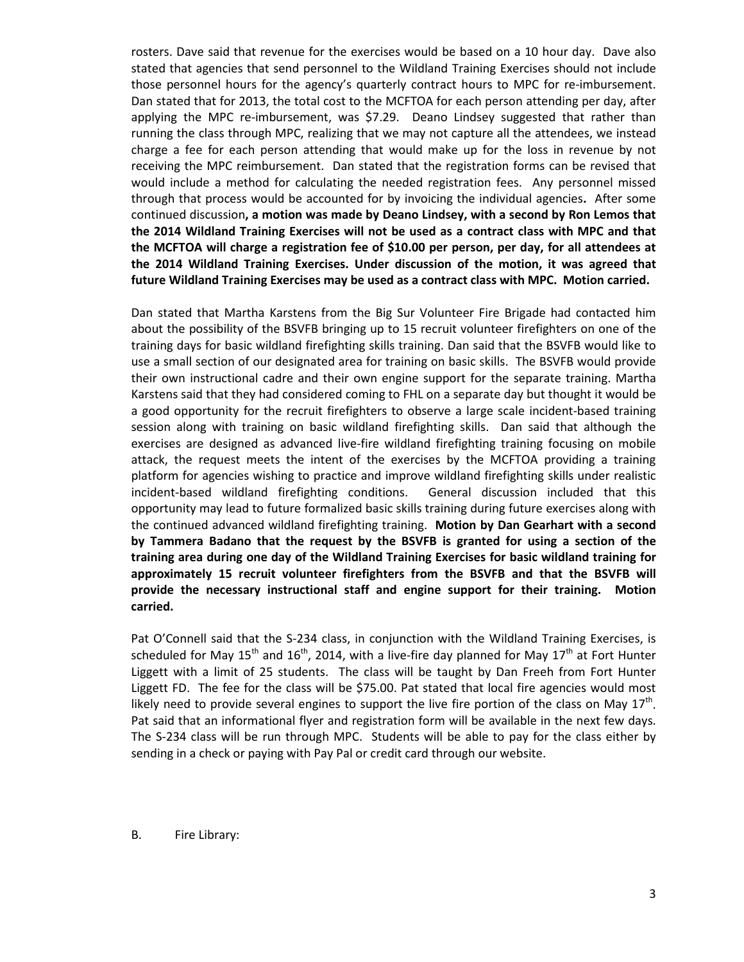rosters. Dave said that revenue for the exercises would be based on a 10 hour day. Dave also stated that agencies that send personnel to the Wildland Training Exercises should not include those personnel hours for the agency's quarterly contract hours to MPC for re-imbursement. Dan stated that for 2013, the total cost to the MCFTOA for each person attending per day, after applying the MPC re-imbursement, was \$7.29. Deano Lindsey suggested that rather than running the class through MPC, realizing that we may not capture all the attendees, we instead charge a fee for each person attending that would make up for the loss in revenue by not receiving the MPC reimbursement. Dan stated that the registration forms can be revised that would include a method for calculating the needed registration fees. Any personnel missed through that process would be accounted for by invoicing the individual agencies**.** After some continued discussion**, a motion was made by Deano Lindsey, with a second by Ron Lemos that the 2014 Wildland Training Exercises will not be used as a contract class with MPC and that the MCFTOA will charge a registration fee of \$10.00 per person, per day, for all attendees at the 2014 Wildland Training Exercises. Under discussion of the motion, it was agreed that future Wildland Training Exercises may be used as a contract class with MPC. Motion carried.**

Dan stated that Martha Karstens from the Big Sur Volunteer Fire Brigade had contacted him about the possibility of the BSVFB bringing up to 15 recruit volunteer firefighters on one of the training days for basic wildland firefighting skills training. Dan said that the BSVFB would like to use a small section of our designated area for training on basic skills. The BSVFB would provide their own instructional cadre and their own engine support for the separate training. Martha Karstens said that they had considered coming to FHL on a separate day but thought it would be a good opportunity for the recruit firefighters to observe a large scale incident-based training session along with training on basic wildland firefighting skills. Dan said that although the exercises are designed as advanced live-fire wildland firefighting training focusing on mobile attack, the request meets the intent of the exercises by the MCFTOA providing a training platform for agencies wishing to practice and improve wildland firefighting skills under realistic incident-based wildland firefighting conditions. General discussion included that this opportunity may lead to future formalized basic skills training during future exercises along with the continued advanced wildland firefighting training. **Motion by Dan Gearhart with a second by Tammera Badano that the request by the BSVFB is granted for using a section of the training area during one day of the Wildland Training Exercises for basic wildland training for approximately 15 recruit volunteer firefighters from the BSVFB and that the BSVFB will provide the necessary instructional staff and engine support for their training. Motion carried.**

Pat O'Connell said that the S-234 class, in conjunction with the Wildland Training Exercises, is scheduled for May  $15^{th}$  and  $16^{th}$ , 2014, with a live-fire day planned for May  $17^{th}$  at Fort Hunter Liggett with a limit of 25 students. The class will be taught by Dan Freeh from Fort Hunter Liggett FD. The fee for the class will be \$75.00. Pat stated that local fire agencies would most likely need to provide several engines to support the live fire portion of the class on May  $17^{th}$ . Pat said that an informational flyer and registration form will be available in the next few days. The S-234 class will be run through MPC. Students will be able to pay for the class either by sending in a check or paying with Pay Pal or credit card through our website.

B. Fire Library: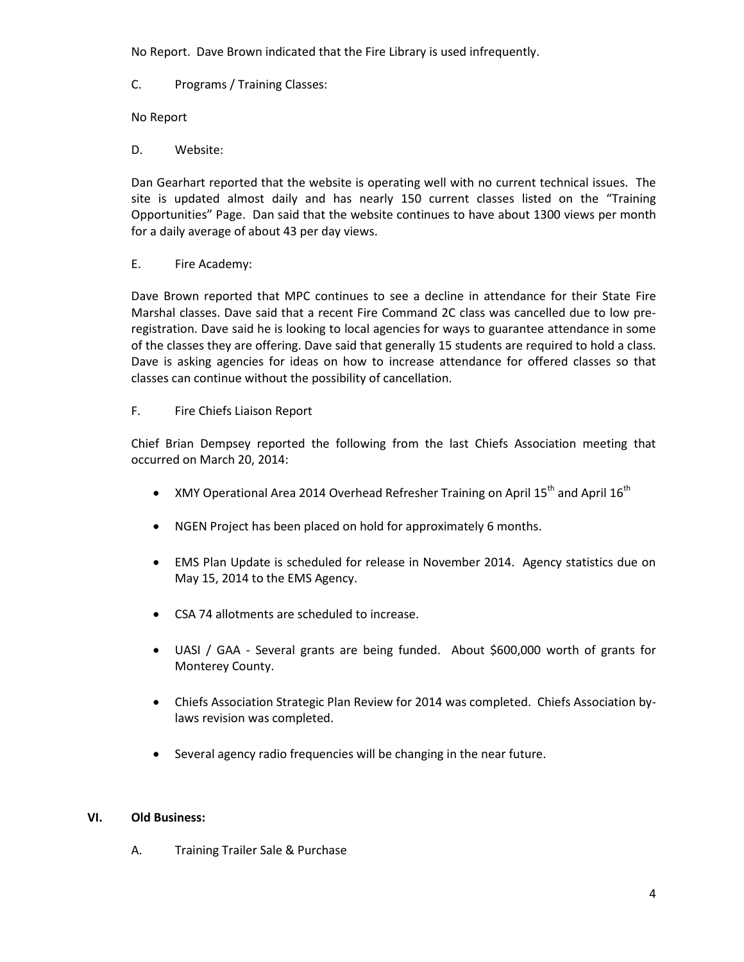No Report. Dave Brown indicated that the Fire Library is used infrequently.

C. Programs / Training Classes:

No Report

D. Website:

Dan Gearhart reported that the website is operating well with no current technical issues. The site is updated almost daily and has nearly 150 current classes listed on the "Training Opportunities" Page. Dan said that the website continues to have about 1300 views per month for a daily average of about 43 per day views.

E. Fire Academy:

Dave Brown reported that MPC continues to see a decline in attendance for their State Fire Marshal classes. Dave said that a recent Fire Command 2C class was cancelled due to low preregistration. Dave said he is looking to local agencies for ways to guarantee attendance in some of the classes they are offering. Dave said that generally 15 students are required to hold a class. Dave is asking agencies for ideas on how to increase attendance for offered classes so that classes can continue without the possibility of cancellation.

#### F. Fire Chiefs Liaison Report

Chief Brian Dempsey reported the following from the last Chiefs Association meeting that occurred on March 20, 2014:

- XMY Operational Area 2014 Overhead Refresher Training on April 15<sup>th</sup> and April 16<sup>th</sup>
- NGEN Project has been placed on hold for approximately 6 months.
- EMS Plan Update is scheduled for release in November 2014. Agency statistics due on May 15, 2014 to the EMS Agency.
- CSA 74 allotments are scheduled to increase.
- UASI / GAA Several grants are being funded. About \$600,000 worth of grants for Monterey County.
- Chiefs Association Strategic Plan Review for 2014 was completed. Chiefs Association bylaws revision was completed.
- Several agency radio frequencies will be changing in the near future.

# **VI. Old Business:**

A. Training Trailer Sale & Purchase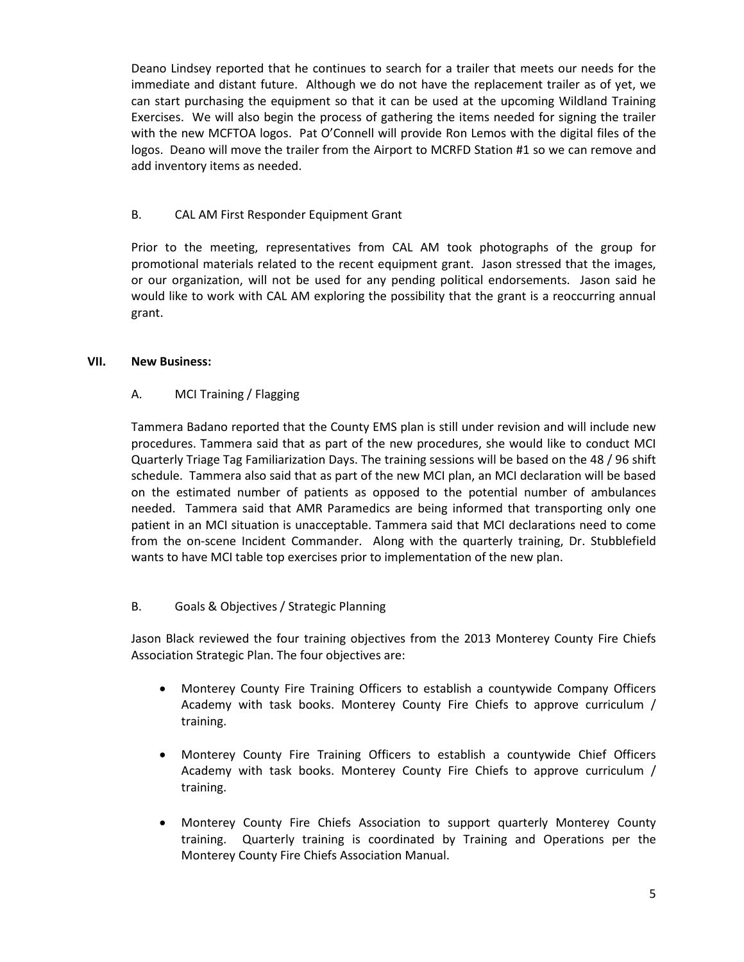Deano Lindsey reported that he continues to search for a trailer that meets our needs for the immediate and distant future. Although we do not have the replacement trailer as of yet, we can start purchasing the equipment so that it can be used at the upcoming Wildland Training Exercises. We will also begin the process of gathering the items needed for signing the trailer with the new MCFTOA logos. Pat O'Connell will provide Ron Lemos with the digital files of the logos. Deano will move the trailer from the Airport to MCRFD Station #1 so we can remove and add inventory items as needed.

# B. CAL AM First Responder Equipment Grant

Prior to the meeting, representatives from CAL AM took photographs of the group for promotional materials related to the recent equipment grant. Jason stressed that the images, or our organization, will not be used for any pending political endorsements. Jason said he would like to work with CAL AM exploring the possibility that the grant is a reoccurring annual grant.

#### **VII. New Business:**

# A. MCI Training / Flagging

Tammera Badano reported that the County EMS plan is still under revision and will include new procedures. Tammera said that as part of the new procedures, she would like to conduct MCI Quarterly Triage Tag Familiarization Days. The training sessions will be based on the 48 / 96 shift schedule. Tammera also said that as part of the new MCI plan, an MCI declaration will be based on the estimated number of patients as opposed to the potential number of ambulances needed. Tammera said that AMR Paramedics are being informed that transporting only one patient in an MCI situation is unacceptable. Tammera said that MCI declarations need to come from the on-scene Incident Commander. Along with the quarterly training, Dr. Stubblefield wants to have MCI table top exercises prior to implementation of the new plan.

# B. Goals & Objectives / Strategic Planning

Jason Black reviewed the four training objectives from the 2013 Monterey County Fire Chiefs Association Strategic Plan. The four objectives are:

- Monterey County Fire Training Officers to establish a countywide Company Officers Academy with task books. Monterey County Fire Chiefs to approve curriculum / training.
- Monterey County Fire Training Officers to establish a countywide Chief Officers Academy with task books. Monterey County Fire Chiefs to approve curriculum / training.
- Monterey County Fire Chiefs Association to support quarterly Monterey County training. Quarterly training is coordinated by Training and Operations per the Monterey County Fire Chiefs Association Manual.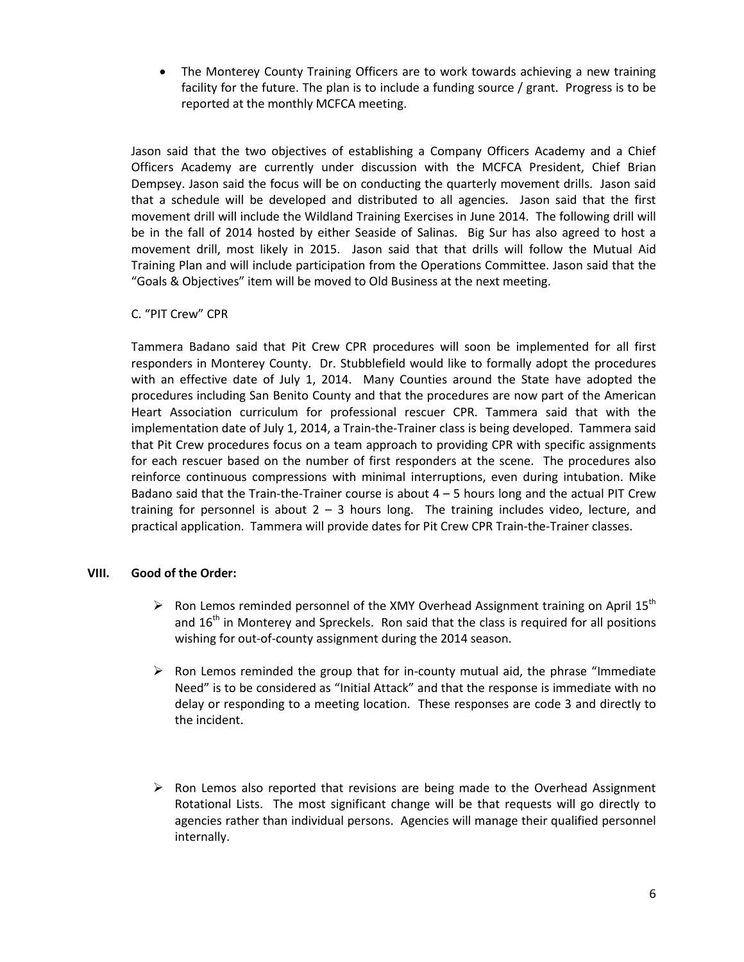• The Monterey County Training Officers are to work towards achieving a new training facility for the future. The plan is to include a funding source / grant. Progress is to be reported at the monthly MCFCA meeting.

Jason said that the two objectives of establishing a Company Officers Academy and a Chief Officers Academy are currently under discussion with the MCFCA President, Chief Brian Dempsey. Jason said the focus will be on conducting the quarterly movement drills. Jason said that a schedule will be developed and distributed to all agencies. Jason said that the first movement drill will include the Wildland Training Exercises in June 2014. The following drill will be in the fall of 2014 hosted by either Seaside of Salinas. Big Sur has also agreed to host a movement drill, most likely in 2015. Jason said that that drills will follow the Mutual Aid Training Plan and will include participation from the Operations Committee. Jason said that the "Goals & Objectives" item will be moved to Old Business at the next meeting.

#### C. "PIT Crew" CPR

Tammera Badano said that Pit Crew CPR procedures will soon be implemented for all first responders in Monterey County. Dr. Stubblefield would like to formally adopt the procedures with an effective date of July 1, 2014. Many Counties around the State have adopted the procedures including San Benito County and that the procedures are now part of the American Heart Association curriculum for professional rescuer CPR. Tammera said that with the implementation date of July 1, 2014, a Train-the-Trainer class is being developed. Tammera said that Pit Crew procedures focus on a team approach to providing CPR with specific assignments for each rescuer based on the number of first responders at the scene. The procedures also reinforce continuous compressions with minimal interruptions, even during intubation. Mike Badano said that the Train-the-Trainer course is about  $4 - 5$  hours long and the actual PIT Crew training for personnel is about  $2 - 3$  hours long. The training includes video, lecture, and practical application. Tammera will provide dates for Pit Crew CPR Train-the-Trainer classes.

#### **VIII. Good of the Order:**

- $\triangleright$  Ron Lemos reminded personnel of the XMY Overhead Assignment training on April 15<sup>th</sup> and  $16<sup>th</sup>$  in Monterey and Spreckels. Ron said that the class is required for all positions wishing for out-of-county assignment during the 2014 season.
- $\triangleright$  Ron Lemos reminded the group that for in-county mutual aid, the phrase "Immediate" Need" is to be considered as "Initial Attack" and that the response is immediate with no delay or responding to a meeting location. These responses are code 3 and directly to the incident.
- $\triangleright$  Ron Lemos also reported that revisions are being made to the Overhead Assignment Rotational Lists. The most significant change will be that requests will go directly to agencies rather than individual persons. Agencies will manage their qualified personnel internally.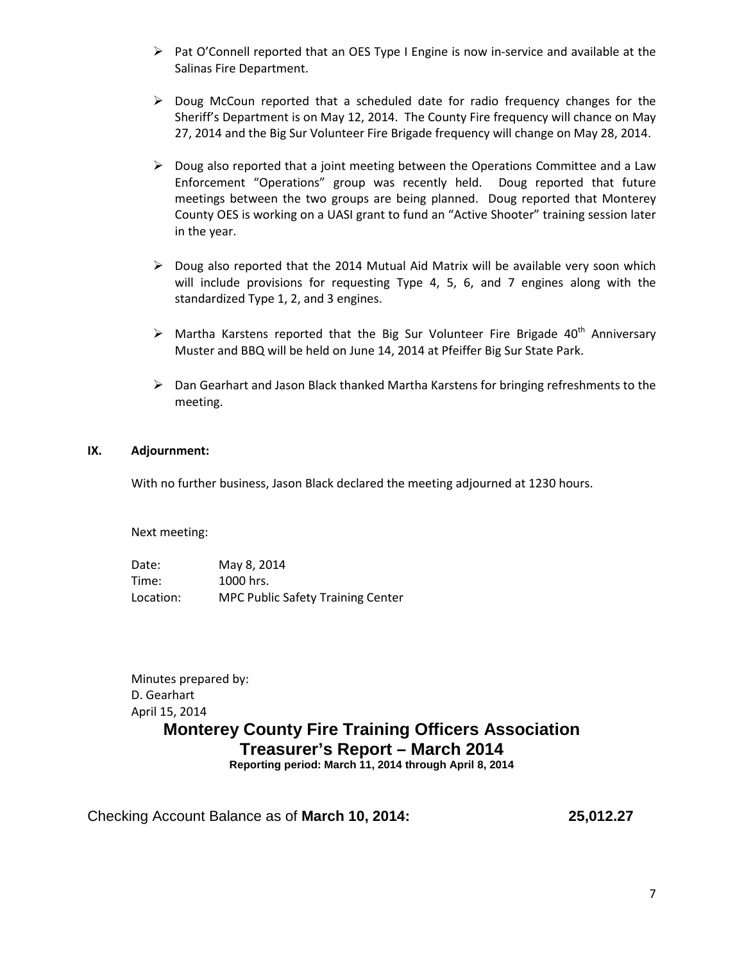- $\triangleright$  Pat O'Connell reported that an OES Type I Engine is now in-service and available at the Salinas Fire Department.
- $\triangleright$  Doug McCoun reported that a scheduled date for radio frequency changes for the Sheriff's Department is on May 12, 2014. The County Fire frequency will chance on May 27, 2014 and the Big Sur Volunteer Fire Brigade frequency will change on May 28, 2014.
- $\triangleright$  Doug also reported that a joint meeting between the Operations Committee and a Law Enforcement "Operations" group was recently held. Doug reported that future meetings between the two groups are being planned. Doug reported that Monterey County OES is working on a UASI grant to fund an "Active Shooter" training session later in the year.
- $\triangleright$  Doug also reported that the 2014 Mutual Aid Matrix will be available very soon which will include provisions for requesting Type 4, 5, 6, and 7 engines along with the standardized Type 1, 2, and 3 engines.
- $\triangleright$  Martha Karstens reported that the Big Sur Volunteer Fire Brigade 40<sup>th</sup> Anniversary Muster and BBQ will be held on June 14, 2014 at Pfeiffer Big Sur State Park.
- $\triangleright$  Dan Gearhart and Jason Black thanked Martha Karstens for bringing refreshments to the meeting.

#### **IX. Adjournment:**

With no further business, Jason Black declared the meeting adjourned at 1230 hours.

Next meeting:

Date: May 8, 2014 Time: 1000 hrs. Location: MPC Public Safety Training Center

Minutes prepared by: D. Gearhart April 15, 2014 **Monterey County Fire Training Officers Association Treasurer's Report – March 2014**

**Reporting period: March 11, 2014 through April 8, 2014**

Checking Account Balance as of **March 10, 2014: 25,012.27**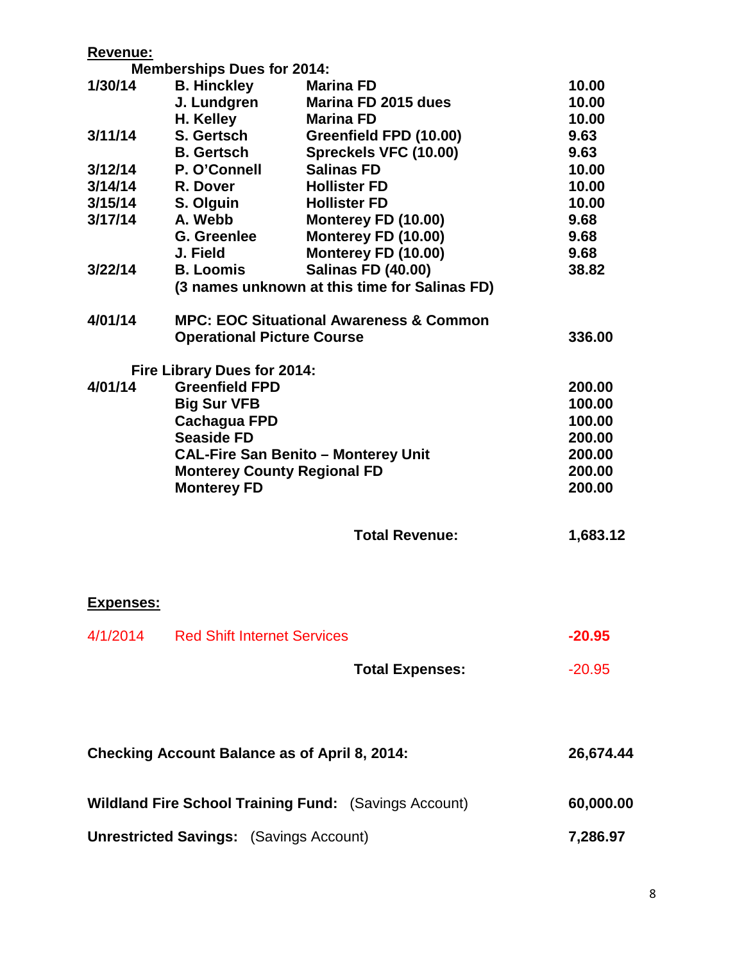| <b>Revenue:</b>                                      |                                                    |                                                              |           |  |
|------------------------------------------------------|----------------------------------------------------|--------------------------------------------------------------|-----------|--|
|                                                      | <b>Memberships Dues for 2014:</b>                  |                                                              |           |  |
| 1/30/14                                              | <b>B. Hinckley</b>                                 | <b>Marina FD</b>                                             | 10.00     |  |
|                                                      | J. Lundgren                                        | Marina FD 2015 dues                                          | 10.00     |  |
|                                                      | H. Kelley                                          | <b>Marina FD</b>                                             | 10.00     |  |
| 3/11/14                                              | S. Gertsch                                         | Greenfield FPD (10.00)                                       | 9.63      |  |
|                                                      | <b>B.</b> Gertsch                                  | Spreckels VFC (10.00)                                        | 9.63      |  |
| 3/12/14                                              | P. O'Connell                                       | <b>Salinas FD</b>                                            | 10.00     |  |
| 3/14/14                                              | R. Dover                                           | <b>Hollister FD</b>                                          | 10.00     |  |
| 3/15/14                                              | S. Olguin                                          | <b>Hollister FD</b>                                          | 10.00     |  |
| 3/17/14                                              | A. Webb                                            | Monterey FD (10.00)                                          | 9.68      |  |
|                                                      | G. Greenlee                                        | Monterey FD (10.00)                                          | 9.68      |  |
|                                                      | J. Field                                           | Monterey FD (10.00)                                          | 9.68      |  |
| 3/22/14                                              | <b>B. Loomis</b>                                   | <b>Salinas FD (40.00)</b>                                    | 38.82     |  |
|                                                      |                                                    | (3 names unknown at this time for Salinas FD)                |           |  |
| 4/01/14                                              | <b>MPC: EOC Situational Awareness &amp; Common</b> |                                                              |           |  |
| <b>Operational Picture Course</b>                    |                                                    |                                                              | 336.00    |  |
|                                                      | Fire Library Dues for 2014:                        |                                                              |           |  |
| 4/01/14                                              | <b>Greenfield FPD</b>                              |                                                              |           |  |
|                                                      | <b>Big Sur VFB</b>                                 |                                                              | 100.00    |  |
|                                                      | <b>Cachagua FPD</b>                                |                                                              | 100.00    |  |
|                                                      | <b>Seaside FD</b>                                  |                                                              | 200.00    |  |
|                                                      | <b>CAL-Fire San Benito - Monterey Unit</b>         |                                                              |           |  |
|                                                      | <b>Monterey County Regional FD</b>                 | 200.00                                                       |           |  |
|                                                      | <b>Monterey FD</b>                                 |                                                              | 200.00    |  |
|                                                      |                                                    |                                                              |           |  |
|                                                      |                                                    | <b>Total Revenue:</b>                                        | 1,683.12  |  |
|                                                      |                                                    |                                                              |           |  |
| <b>Expenses:</b>                                     |                                                    |                                                              |           |  |
|                                                      |                                                    |                                                              | $-20.95$  |  |
|                                                      | 4/1/2014 Red Shift Internet Services               |                                                              |           |  |
|                                                      |                                                    | <b>Total Expenses:</b>                                       | $-20.95$  |  |
|                                                      |                                                    |                                                              |           |  |
|                                                      |                                                    |                                                              |           |  |
|                                                      | 26,674.44                                          |                                                              |           |  |
| <b>Checking Account Balance as of April 8, 2014:</b> |                                                    |                                                              |           |  |
|                                                      |                                                    | <b>Wildland Fire School Training Fund:</b> (Savings Account) | 60,000.00 |  |
|                                                      |                                                    |                                                              |           |  |
| <b>Unrestricted Savings:</b> (Savings Account)       | 7,286.97                                           |                                                              |           |  |